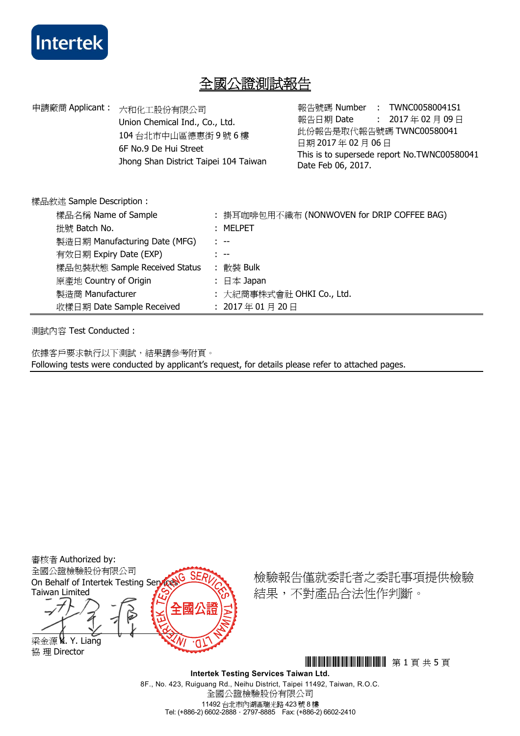

# 全國公證測試報告

| 申請廠商 Applicant:<br>六和化工股份有限公司<br>Union Chemical Ind., Co., Ltd.<br>104台北市中山區德惠街9號6樓<br>6F No.9 De Hui Street<br>Jhong Shan District Taipei 104 Taiwan<br>樣品敘述 Sample Description: |                           |  | 報告日期 Date<br>日期 2017年02月06日<br>Date Feb 06, 2017.        |  | 報告號碼 Number : TWNC00580041S1<br>: 2017年02月09日<br>此份報告是取代報告號碼 TWNC00580041<br>This is to supersede report No.TWNC00580041 |  |  |
|-----------------------------------------------------------------------------------------------------------------------------------------------------------------------------------|---------------------------|--|----------------------------------------------------------|--|--------------------------------------------------------------------------------------------------------------------------|--|--|
|                                                                                                                                                                                   |                           |  |                                                          |  |                                                                                                                          |  |  |
| 樣品名稱 Name of Sample                                                                                                                                                               |                           |  | : 掛耳咖啡包用不織布 (NONWOVEN for DRIP COFFEE BAG)<br>$:$ MELPET |  |                                                                                                                          |  |  |
| 批號 Batch No.                                                                                                                                                                      |                           |  |                                                          |  |                                                                                                                          |  |  |
| 製造日期 Manufacturing Date (MFG)                                                                                                                                                     |                           |  | $1 - 77$                                                 |  |                                                                                                                          |  |  |
| 有效日期 Expiry Date (EXP)                                                                                                                                                            |                           |  | $\sim$                                                   |  |                                                                                                                          |  |  |
| 樣品包裝狀態 Sample Received Status                                                                                                                                                     |                           |  | : 散裝 Bulk                                                |  |                                                                                                                          |  |  |
| 原產地 Country of Origin                                                                                                                                                             |                           |  | : 日本 Japan                                               |  |                                                                                                                          |  |  |
| 製造商 Manufacturer                                                                                                                                                                  |                           |  | : 大紀商事株式會社 OHKI Co., Ltd.                                |  |                                                                                                                          |  |  |
|                                                                                                                                                                                   | 收樣日期 Date Sample Received |  | : 2017年01月20日                                            |  |                                                                                                                          |  |  |
|                                                                                                                                                                                   |                           |  |                                                          |  |                                                                                                                          |  |  |

測試內容 Test Conducted :

依據客戶要求執行以下測試,結果請參考附頁。 Following tests were conducted by applicant's request, for details please refer to attached pages.

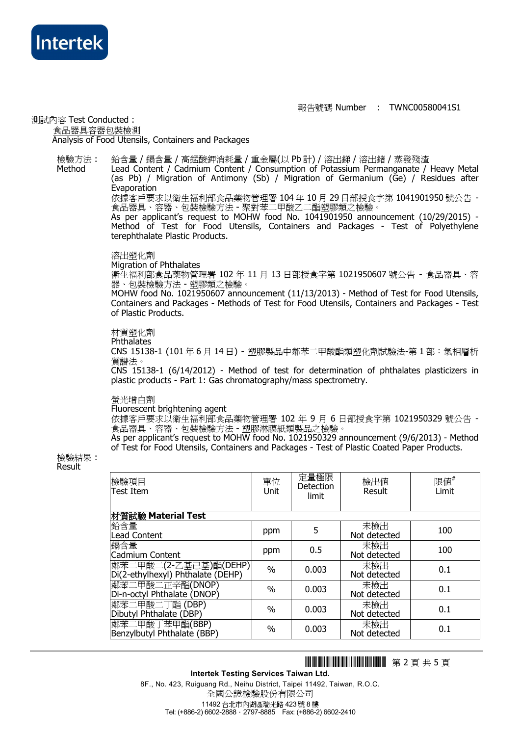

**Method** 

#### 報告號碼 Number : TWNC00580041S1

#### 測試內容 Test Conducted : 食品器具容器包裝檢測 Analysis of Food Utensils, Containers and Packages

檢驗方法 : 鉛含量 / 鎘含量 / 高錳酸鉀消耗量 / 重金屬(以 Pb 計) / 溶出銻 / 溶出鍺 / 蒸發殘渣

> Lead Content / Cadmium Content / Consumption of Potassium Permanganate / Heavy Metal (as Pb) / Migration of Antimony (Sb) / Migration of Germanium (Ge) / Residues after Evaporation

依據客戶要求以衛生福利部食品藥物管理署 104 年 10 月 29 日部授食字第 1041901950 號公告 - 食品器具、容器、包裝檢驗方法 - 聚對苯二甲酸乙二酯塑膠類之檢驗。

As per applicant's request to MOHW food No. 1041901950 announcement (10/29/2015) - Method of Test for Food Utensils, Containers and Packages - Test of Polyethylene terephthalate Plastic Products.

#### 溶出塑化劑

Migration of Phthalates

衛生福利部食品藥物管理署 102 年 11 月 13 日部授食字第 1021950607 號公告 - 食品器具、容 器、包裝檢驗方法 - 塑膠類之檢驗。

MOHW food No. 1021950607 announcement (11/13/2013) - Method of Test for Food Utensils, Containers and Packages - Methods of Test for Food Utensils, Containers and Packages - Test of Plastic Products.

## 材質塑化劑

**Phthalates** 

CNS 15138-1 (101 年 6 月 14 日) - 塑膠製品中鄰苯二甲酸酯類塑化劑試驗法-第 1 部:氣相層析 質譜法。

CNS 15138-1 (6/14/2012) - Method of test for determination of phthalates plasticizers in plastic products - Part 1: Gas chromatography/mass spectrometry.

#### 螢光增白劑

#### Fluorescent brightening agent

依據客戶要求以衛生福利部食品藥物管理署 102 年 9 月 6 日部授食字第 1021950329 號公告 - 食品器具、容器、包裝檢驗方法 - 塑膠淋膜紙類製品之檢驗。

As per applicant's request to MOHW food No. 1021950329 announcement (9/6/2013) - Method of Test for Food Utensils, Containers and Packages - Test of Plastic Coated Paper Products.

檢驗結果 : Result

| 檢驗項目<br>Test Item                                          | 單位<br>Unit | 定量極限<br>Detection<br>limit | 檢出值<br>Result       | 限値 $^\#$<br>Limit |
|------------------------------------------------------------|------------|----------------------------|---------------------|-------------------|
| 材質試驗 Material Test                                         |            |                            |                     |                   |
| 鉛含量<br><b>Lead Content</b>                                 | ppm        | 5                          | 未檢出<br>Not detected | 100               |
| 鎘含量<br>Cadmium Content                                     | ppm        | 0.5                        | 未檢出<br>Not detected | 100               |
| 鄰苯二甲酸二(2-乙基己基)酯(DEHP)<br>Di(2-ethylhexyl) Phthalate (DEHP) | $\%$       | 0.003                      | 未檢出<br>Not detected | 0.1               |
| 鄰苯二甲酸二正辛酯(DNOP)<br>Di-n-octyl Phthalate (DNOP)             | $\%$       | 0.003                      | 未檢出<br>Not detected | 0.1               |
| 鄰苯二甲酸二丁酯 (DBP)<br>Dibutyl Phthalate (DBP)                  | $\%$       | 0.003                      | 未檢出<br>Not detected | 0.1               |
| 鄰苯二甲酸丁苯甲酯(BBP)<br>Benzylbutyl Phthalate (BBP)              | $\%$       | 0.003                      | 未檢出<br>Not detected | 0.1               |

# THJ0580041 <sup>第</sup> 2 <sup>頁</sup> <sup>共</sup> 5 <sup>頁</sup>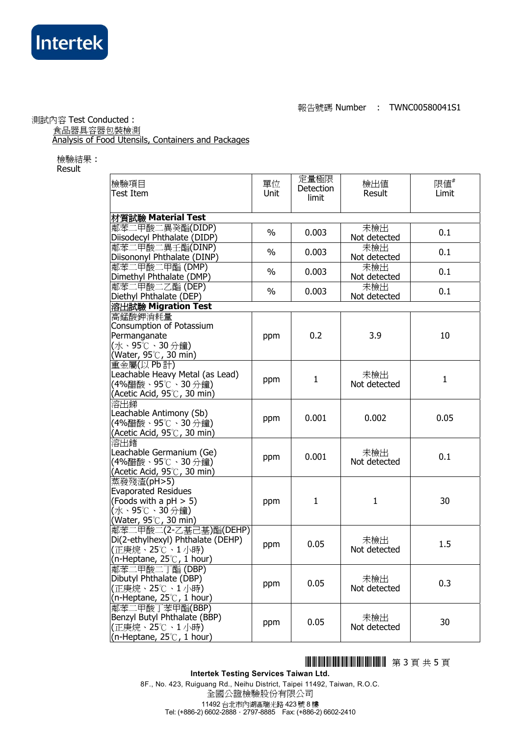

#### 報告號碼 Number : TWNC00580041S1

測試內容 Test Conducted :

( ) 食品器具容器包裝檢測

Analysis of Food Utensils, Containers and Packages

檢驗結果 : Result

| 檢驗項目<br>Test Item                                                                                                  | 單位<br>Unit    | 定量極限<br>Detection<br>limit | 檢出値<br>Result       | 限値"<br>Limit |
|--------------------------------------------------------------------------------------------------------------------|---------------|----------------------------|---------------------|--------------|
| 材質試驗 Material Test                                                                                                 |               |                            |                     |              |
| 鄰苯二甲酸二異癸酯(DIDP)<br>Diisodecyl Phthalate (DIDP)                                                                     | $\%$          | 0.003                      | 未檢出<br>Not detected | 0.1          |
| 鄰苯二甲酸二異壬酯(DINP)<br>Diisononyl Phthalate (DINP)                                                                     | $\%$          | 0.003                      | 未檢出<br>Not detected | 0.1          |
| 鄰苯二甲酸二甲酯 (DMP)<br>Dimethyl Phthalate (DMP)                                                                         | $\frac{0}{0}$ | 0.003                      | 未檢出<br>Not detected | 0.1          |
| 鄰苯二甲酸二乙酯(DEP)<br>Diethyl Phthalate (DEP)                                                                           | $\%$          | 0.003                      | 未檢出<br>Not detected | 0.1          |
| 溶出試驗 Migration Test                                                                                                |               |                            |                     |              |
| 高錳酸鉀消耗量<br>Consumption of Potassium<br>Permanganate<br>(水、95℃、30分鐘)<br>(Water, 95°C, 30 min)                       | ppm           | 0.2                        | 3.9                 | 10           |
| 重金屬(以 Pb計)<br>Leachable Heavy Metal (as Lead)<br>(4%醋酸、95℃、30 分鐘)<br>(Acetic Acid, 95 $^\circ\!{\rm C}$ , 30 min)  | ppm           | $\mathbf{1}$               | 未檢出<br>Not detected | $\mathbf{1}$ |
| 溶出銻<br>Leachable Antimony (Sb)<br>(4%醋酸、95℃、30分鐘)<br>(Acetic Acid, $95^{\circ}$ C, 30 min)                         | ppm           | 0.001                      | 0.002               | 0.05         |
| 溶出鍺<br>Leachable Germanium (Ge)<br>(4%醋酸、95℃、30 分鐘)<br>(Acetic Acid, 95℃, 30 min)                                  | ppm           | 0.001                      | 未檢出<br>Not detected | 0.1          |
| 蒸發殘渣(pH>5)<br><b>Evaporated Residues</b><br>(Foods with a $pH > 5$ )<br>(水、95℃、30分鐘)<br>(Water, 95℃, 30 min)       | ppm           | $\mathbf{1}$               | $\mathbf{1}$        | 30           |
| 鄰苯二甲酸二(2-乙基己基)酯(DEHP)<br>Di(2-ethylhexyl) Phthalate (DEHP)<br>(正庚烷、25℃、1 小時)<br>(n-Heptane, $25^{\circ}$ , 1 hour) | ppm           | 0.05                       | 未檢出<br>Not detected | 1.5          |
| 鄰苯二甲酸二丁酯 (DBP)<br>Dibutyl Phthalate (DBP)<br>(正庚烷、25℃、1小時)<br>(n-Heptane, $25^{\circ}$ , 1 hour)                   | ppm           | 0.05                       | 未檢出<br>Not detected | 0.3          |
| 鄰苯二甲酸丁苯甲酯(BBP)<br>Benzyl Butyl Phthalate (BBP)<br>(正庚烷、25℃、1 小時)<br>(n-Heptane, $25^{\circ}$ , 1 hour)             | ppm           | 0.05                       | 未檢出<br>Not detected | 30           |

# **HHIMANI HIMANI 第3頁共5頁**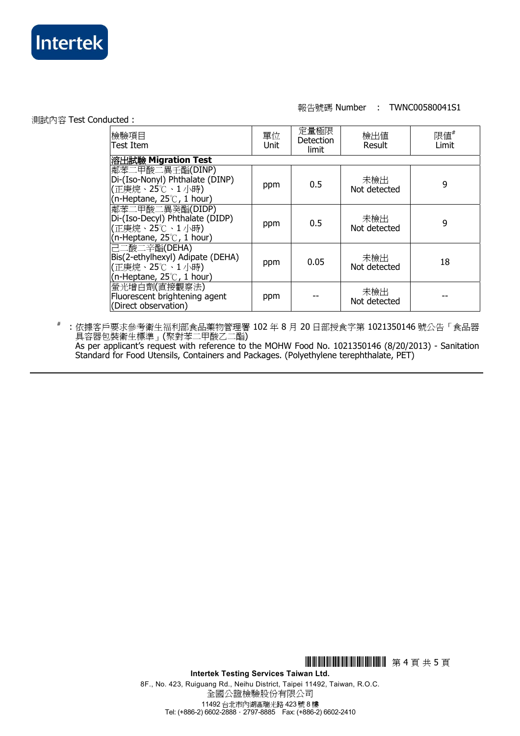

## 報告號碼 Number : TWNC00580041S1

測試內容 Test Conducted :

| 檢驗項目<br> Test Item                                                                                          | 單位<br>Unit | 定量極限<br>Detection<br>limit | 檢出值<br>Result       | 限値#<br>Limit |  |
|-------------------------------------------------------------------------------------------------------------|------------|----------------------------|---------------------|--------------|--|
| 溶出試驗 Migration Test                                                                                         |            |                            |                     |              |  |
| 鄰苯二甲酸二異壬酯(DINP)<br>Di-(Iso-Nonyl) Phthalate (DINP)<br> (正庚烷、25℃、1 小時)<br>(n-Heptane, $25^{\circ}$ , 1 hour) | ppm        | 0.5                        | 未檢出<br>Not detected | 9            |  |
| 鄰苯二甲酸二異癸酯(DIDP)<br>Di-(Iso-Decyl) Phthalate (DIDP)<br> (正庚烷、25℃、1 小時)<br>(n-Heptane, $25^{\circ}$ , 1 hour) | ppm        | 0.5                        | 未檢出<br>Not detected | 9            |  |
| 己二酸二辛酯(DEHA)<br>Bis(2-ethylhexyl) Adipate (DEHA)<br>(正庚烷、25℃、1小時)<br>(n-Heptane, $25^{\circ}$ , 1 hour)     | ppm        | 0.05                       | 未檢出<br>Not detected | 18           |  |
| 螢光增白劑(直接觀察法)<br>Fluorescent brightening agent<br>(Direct observation)                                       | ppm        |                            | 未檢出<br>Not detected |              |  |

# : 依據客戶要求參考衛生福利部食品藥物管理署 102 年 8 月 20 日部授食字第 1021350146 號公告「食品器 具容器包裝衛生標準」(聚對苯二甲酸乙二酯)

As per applicant's request with reference to the MOHW Food No. 1021350146 (8/20/2013) - Sanitation Standard for Food Utensils, Containers and Packages. (Polyethylene terephthalate, PET)

**HHILLI HILLI IIIIIIIIIII** 第 4 頁 共 5 頁